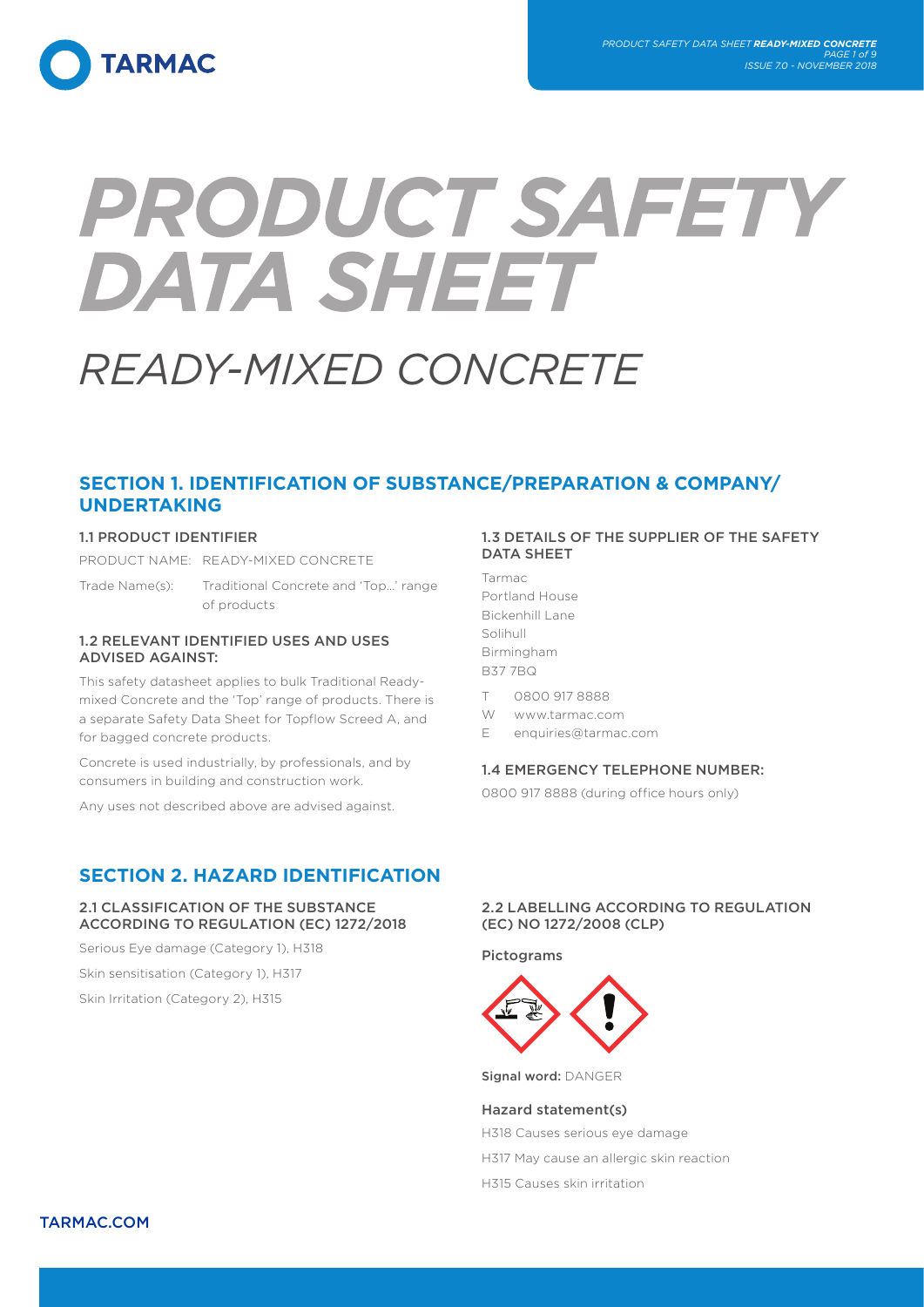

# PRODUCT SAFETY **DATA SHEET**

# *READY-MIXED CONCRETE*

# **SECTION 1. IDENTIFICATION OF SUBSTANCE/PREPARATION & COMPANY/ UNDERTAKING**

# 1.1 PRODUCT IDENTIFIER

PRODUCT NAME: READY-MIXED CONCRETE

Trade Name(s): Traditional Concrete and 'Top…' range of products

# 1.2 RELEVANT IDENTIFIED USES AND USES ADVISED AGAINST:

This safety datasheet applies to bulk Traditional Readymixed Concrete and the 'Top' range of products. There is a separate Safety Data Sheet for Topflow Screed A, and for bagged concrete products.

Concrete is used industrially, by professionals, and by consumers in building and construction work.

Any uses not described above are advised against.

# **SECTION 2. HAZARD IDENTIFICATION**

# 2.1 CLASSIFICATION OF THE SUBSTANCE ACCORDING TO REGULATION (EC) 1272/2018

Serious Eye damage (Category 1), H318 Skin sensitisation (Category 1), H317

Skin Irritation (Category 2), H315

# 1.3 DETAILS OF THE SUPPLIER OF THE SAFETY DATA SHEET

Tarmac Portland House Bickenhill Lane Solihull Birmingham B37 7BQ

- T 0800 917 8888
- W www.tarmac.com
- E enquiries@tarmac.com

# 1.4 EMERGENCY TELEPHONE NUMBER:

0800 917 8888 (during office hours only)

# 2.2 LABELLING ACCORDING TO REGULATION (EC) NO 1272/2008 (CLP)

Pictograms



Signal word: DANGER

Hazard statement(s) H318 Causes serious eye damage H317 May cause an allergic skin reaction H315 Causes skin irritation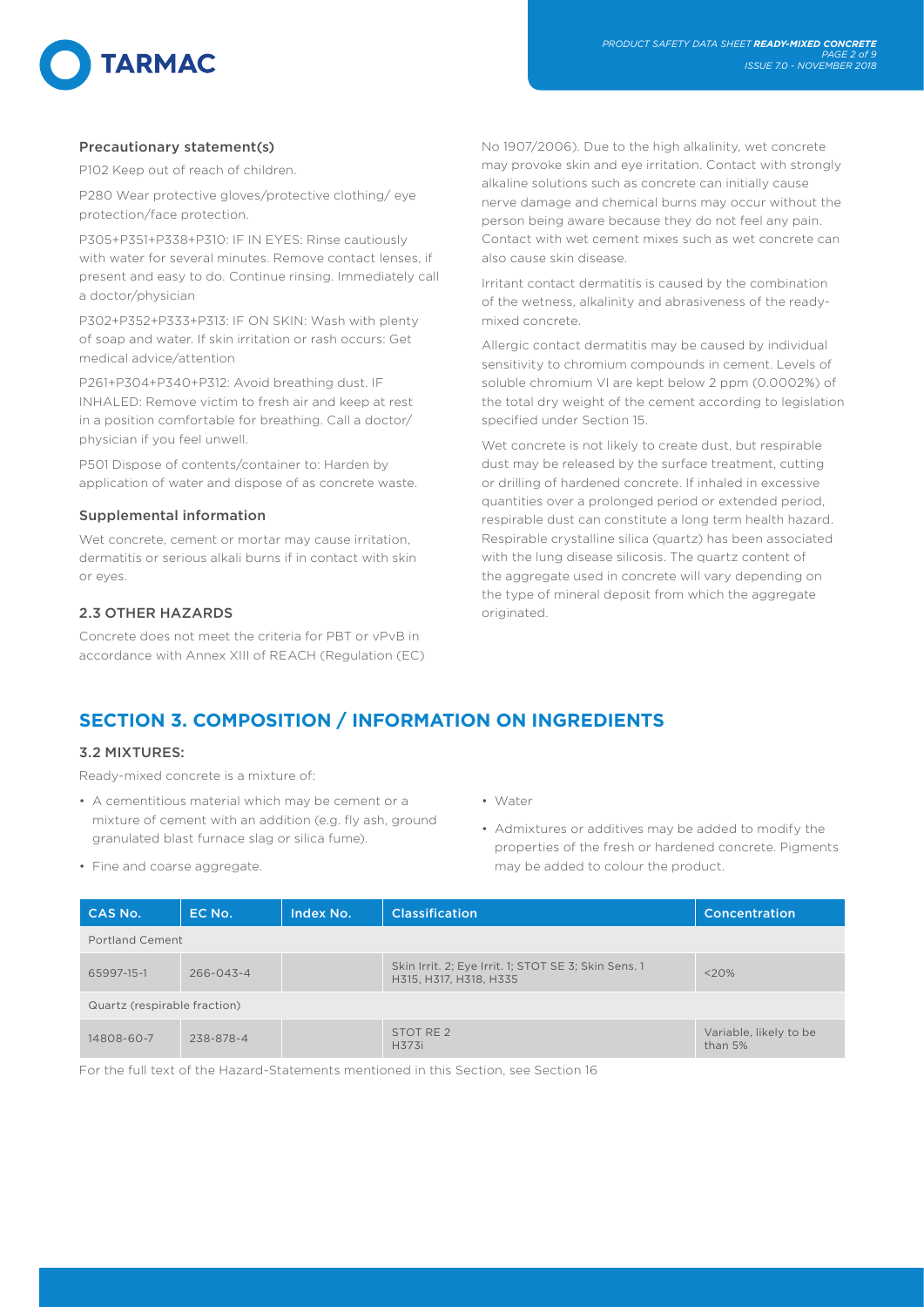# Precautionary statement(s)

P102 Keep out of reach of children.

P280 Wear protective gloves/protective clothing/ eye protection/face protection.

P305+P351+P338+P310: IF IN EYES: Rinse cautiously with water for several minutes. Remove contact lenses, if present and easy to do. Continue rinsing. Immediately call a doctor/physician

P302+P352+P333+P313: IF ON SKIN: Wash with plenty of soap and water. If skin irritation or rash occurs: Get medical advice/attention

P261+P304+P340+P312: Avoid breathing dust. IF INHALED: Remove victim to fresh air and keep at rest in a position comfortable for breathing. Call a doctor/ physician if you feel unwell.

P501 Dispose of contents/container to: Harden by application of water and dispose of as concrete waste.

# Supplemental information

Wet concrete, cement or mortar may cause irritation. dermatitis or serious alkali burns if in contact with skin or eyes.

# 2.3 OTHER HAZARDS

Concrete does not meet the criteria for PBT or vPvB in accordance with Annex XIII of REACH (Regulation (EC) No 1907/2006). Due to the high alkalinity, wet concrete may provoke skin and eye irritation. Contact with strongly alkaline solutions such as concrete can initially cause nerve damage and chemical burns may occur without the person being aware because they do not feel any pain. Contact with wet cement mixes such as wet concrete can also cause skin disease.

Irritant contact dermatitis is caused by the combination of the wetness, alkalinity and abrasiveness of the readymixed concrete.

Allergic contact dermatitis may be caused by individual sensitivity to chromium compounds in cement. Levels of soluble chromium VI are kept below 2 ppm (0.0002%) of the total dry weight of the cement according to legislation specified under Section 15.

Wet concrete is not likely to create dust, but respirable dust may be released by the surface treatment, cutting or drilling of hardened concrete. If inhaled in excessive quantities over a prolonged period or extended period, respirable dust can constitute a long term health hazard. Respirable crystalline silica (quartz) has been associated with the lung disease silicosis. The quartz content of the aggregate used in concrete will vary depending on the type of mineral deposit from which the aggregate originated.

# **SECTION 3. COMPOSITION / INFORMATION ON INGREDIENTS**

# 3.2 MIXTURES:

Ready-mixed concrete is a mixture of:

- A cementitious material which may be cement or a mixture of cement with an addition (e.g. fly ash, ground granulated blast furnace slag or silica fume).
- Fine and coarse aggregate.
- Water
- Admixtures or additives may be added to modify the properties of the fresh or hardened concrete. Pigments may be added to colour the product.

| CAS No.                      | EC No.          | Index No. | <b>Classification</b>                                                          | Concentration                     |  |  |  |
|------------------------------|-----------------|-----------|--------------------------------------------------------------------------------|-----------------------------------|--|--|--|
| Portland Cement              |                 |           |                                                                                |                                   |  |  |  |
| 65997-15-1                   | $266 - 043 - 4$ |           | Skin Irrit. 2; Eye Irrit. 1; STOT SE 3; Skin Sens. 1<br>H315, H317, H318, H335 | <20%                              |  |  |  |
| Quartz (respirable fraction) |                 |           |                                                                                |                                   |  |  |  |
| 14808-60-7                   | 238-878-4       |           | STOT RE <sub>2</sub><br>H373i                                                  | Variable, likely to be<br>than 5% |  |  |  |

For the full text of the Hazard-Statements mentioned in this Section, see Section 16

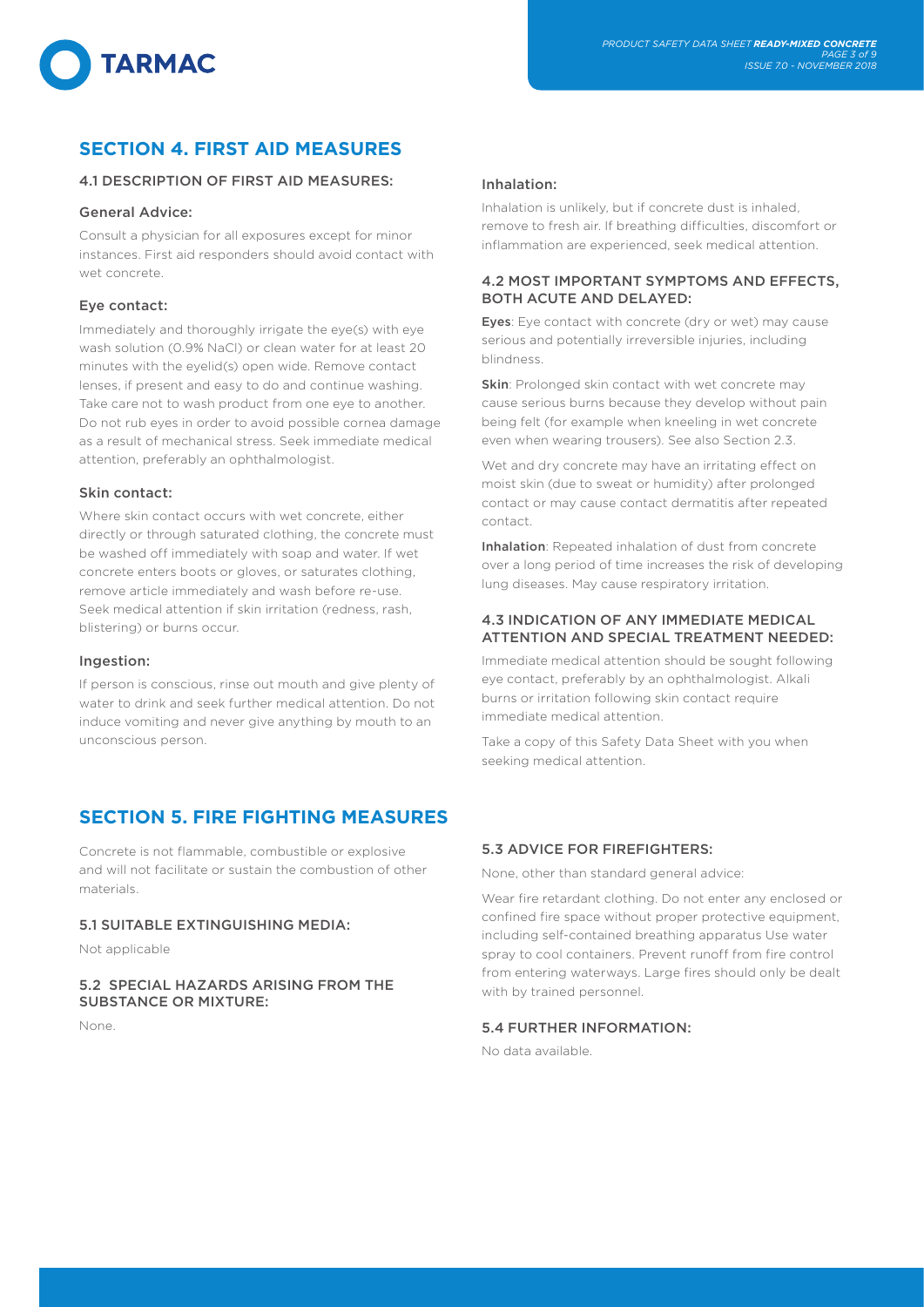

# **SECTION 4. FIRST AID MEASURES**

# 4.1 DESCRIPTION OF FIRST AID MEASURES:

### General Advice:

**TARMAC** 

Consult a physician for all exposures except for minor instances. First aid responders should avoid contact with wet concrete.

# Eye contact:

Immediately and thoroughly irrigate the eye(s) with eye wash solution (0.9% NaCl) or clean water for at least 20 minutes with the eyelid(s) open wide. Remove contact lenses, if present and easy to do and continue washing. Take care not to wash product from one eye to another. Do not rub eyes in order to avoid possible cornea damage as a result of mechanical stress. Seek immediate medical attention, preferably an ophthalmologist.

# Skin contact:

Where skin contact occurs with wet concrete, either directly or through saturated clothing, the concrete must be washed off immediately with soap and water. If wet concrete enters boots or gloves, or saturates clothing, remove article immediately and wash before re-use. Seek medical attention if skin irritation (redness, rash, blistering) or burns occur.

### Ingestion:

If person is conscious, rinse out mouth and give plenty of water to drink and seek further medical attention. Do not induce vomiting and never give anything by mouth to an unconscious person.

# **SECTION 5. FIRE FIGHTING MEASURES**

Concrete is not flammable, combustible or explosive and will not facilitate or sustain the combustion of other materials.

# 5.1 SUITABLE EXTINGUISHING MEDIA:

Not applicable

# 5.2 SPECIAL HAZARDS ARISING FROM THE SUBSTANCE OR MIXTURE:

None.

### Inhalation:

Inhalation is unlikely, but if concrete dust is inhaled, remove to fresh air. If breathing difficulties, discomfort or inflammation are experienced, seek medical attention.

# 4.2 MOST IMPORTANT SYMPTOMS AND EFFECTS, BOTH ACUTE AND DELAYED:

Eyes: Eye contact with concrete (dry or wet) may cause serious and potentially irreversible injuries, including blindness.

Skin: Prolonged skin contact with wet concrete may cause serious burns because they develop without pain being felt (for example when kneeling in wet concrete even when wearing trousers). See also Section 2.3.

Wet and dry concrete may have an irritating effect on moist skin (due to sweat or humidity) after prolonged contact or may cause contact dermatitis after repeated contact.

Inhalation: Repeated inhalation of dust from concrete over a long period of time increases the risk of developing lung diseases. May cause respiratory irritation.

# 4.3 INDICATION OF ANY IMMEDIATE MEDICAL ATTENTION AND SPECIAL TREATMENT NEEDED:

Immediate medical attention should be sought following eye contact, preferably by an ophthalmologist. Alkali burns or irritation following skin contact require immediate medical attention.

Take a copy of this Safety Data Sheet with you when seeking medical attention.

# 5.3 ADVICE FOR FIREFIGHTERS:

None, other than standard general advice:

Wear fire retardant clothing. Do not enter any enclosed or confined fire space without proper protective equipment, including self-contained breathing apparatus Use water spray to cool containers. Prevent runoff from fire control from entering waterways. Large fires should only be dealt with by trained personnel.

# 5.4 FURTHER INFORMATION:

No data available.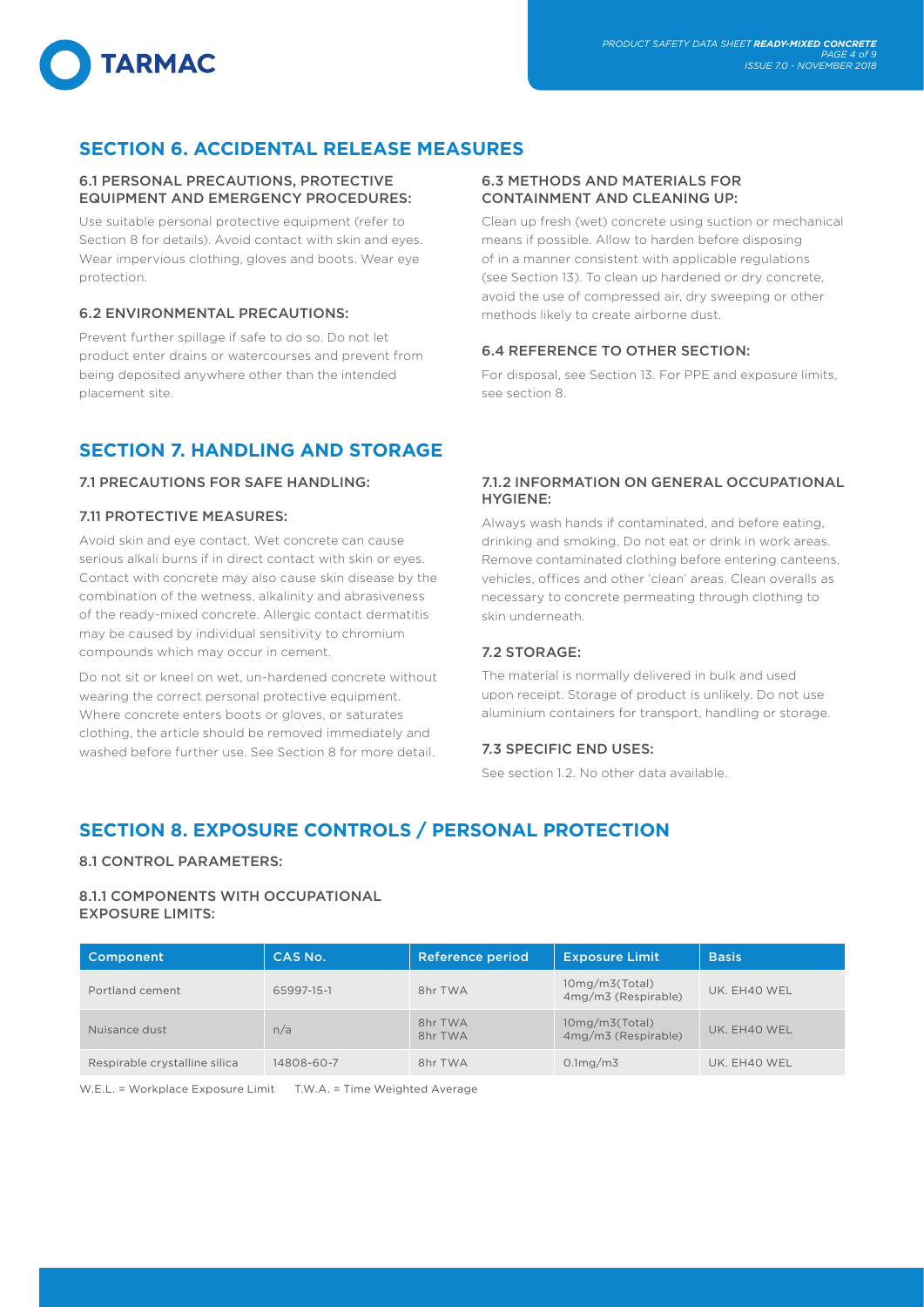# **SECTION 6. ACCIDENTAL RELEASE MEASURES**

# 6.1 PERSONAL PRECAUTIONS, PROTECTIVE EQUIPMENT AND EMERGENCY PROCEDURES:

Use suitable personal protective equipment (refer to Section 8 for details). Avoid contact with skin and eyes. Wear impervious clothing, gloves and boots. Wear eye protection.

# 6.2 ENVIRONMENTAL PRECAUTIONS:

**TARMAC** 

Prevent further spillage if safe to do so. Do not let product enter drains or watercourses and prevent from being deposited anywhere other than the intended placement site.

# **SECTION 7. HANDLING AND STORAGE**

# 7.1 PRECAUTIONS FOR SAFE HANDLING:

# 7.11 PROTECTIVE MEASURES:

Avoid skin and eye contact. Wet concrete can cause serious alkali burns if in direct contact with skin or eyes. Contact with concrete may also cause skin disease by the combination of the wetness, alkalinity and abrasiveness of the ready-mixed concrete. Allergic contact dermatitis may be caused by individual sensitivity to chromium compounds which may occur in cement.

Do not sit or kneel on wet, un-hardened concrete without wearing the correct personal protective equipment. Where concrete enters boots or gloves, or saturates clothing, the article should be removed immediately and washed before further use. See Section 8 for more detail.

# 6.3 METHODS AND MATERIALS FOR CONTAINMENT AND CLEANING UP:

Clean up fresh (wet) concrete using suction or mechanical means if possible. Allow to harden before disposing of in a manner consistent with applicable regulations (see Section 13). To clean up hardened or dry concrete, avoid the use of compressed air, dry sweeping or other methods likely to create airborne dust.

# 6.4 REFERENCE TO OTHER SECTION:

For disposal, see Section 13. For PPE and exposure limits, see section 8.

# 7.1.2 INFORMATION ON GENERAL OCCUPATIONAL HYGIENE:

Always wash hands if contaminated, and before eating, drinking and smoking. Do not eat or drink in work areas. Remove contaminated clothing before entering canteens, vehicles, offices and other 'clean' areas. Clean overalls as necessary to concrete permeating through clothing to skin underneath.

# 7.2 STORAGE:

The material is normally delivered in bulk and used upon receipt. Storage of product is unlikely. Do not use aluminium containers for transport, handling or storage.

# 7.3 SPECIFIC END USES:

See section 1.2. No other data available.

# **SECTION 8. EXPOSURE CONTROLS / PERSONAL PROTECTION**

# 8.1 CONTROL PARAMETERS:

# 8.1.1 COMPONENTS WITH OCCUPATIONAL EXPOSURE LIMITS:

| Component                     | CAS No.    | <b>Reference period</b> | <b>Exposure Limit</b>                 | <b>Basis</b> |
|-------------------------------|------------|-------------------------|---------------------------------------|--------------|
| Portland cement               | 65997-15-1 | 8hr TWA                 | 10mg/m3(Total)<br>4mg/m3 (Respirable) | UK. EH40 WEL |
| Nuisance dust                 | n/a        | 8hr TWA<br>8hr TWA      | 10mg/m3(Total)<br>4mg/m3 (Respirable) | UK. EH40 WEL |
| Respirable crystalline silica | 14808-60-7 | 8hr TWA                 | 0.1mg/m3                              | UK. EH40 WEL |

W.E.L. = Workplace Exposure Limit T.W.A. = Time Weighted Average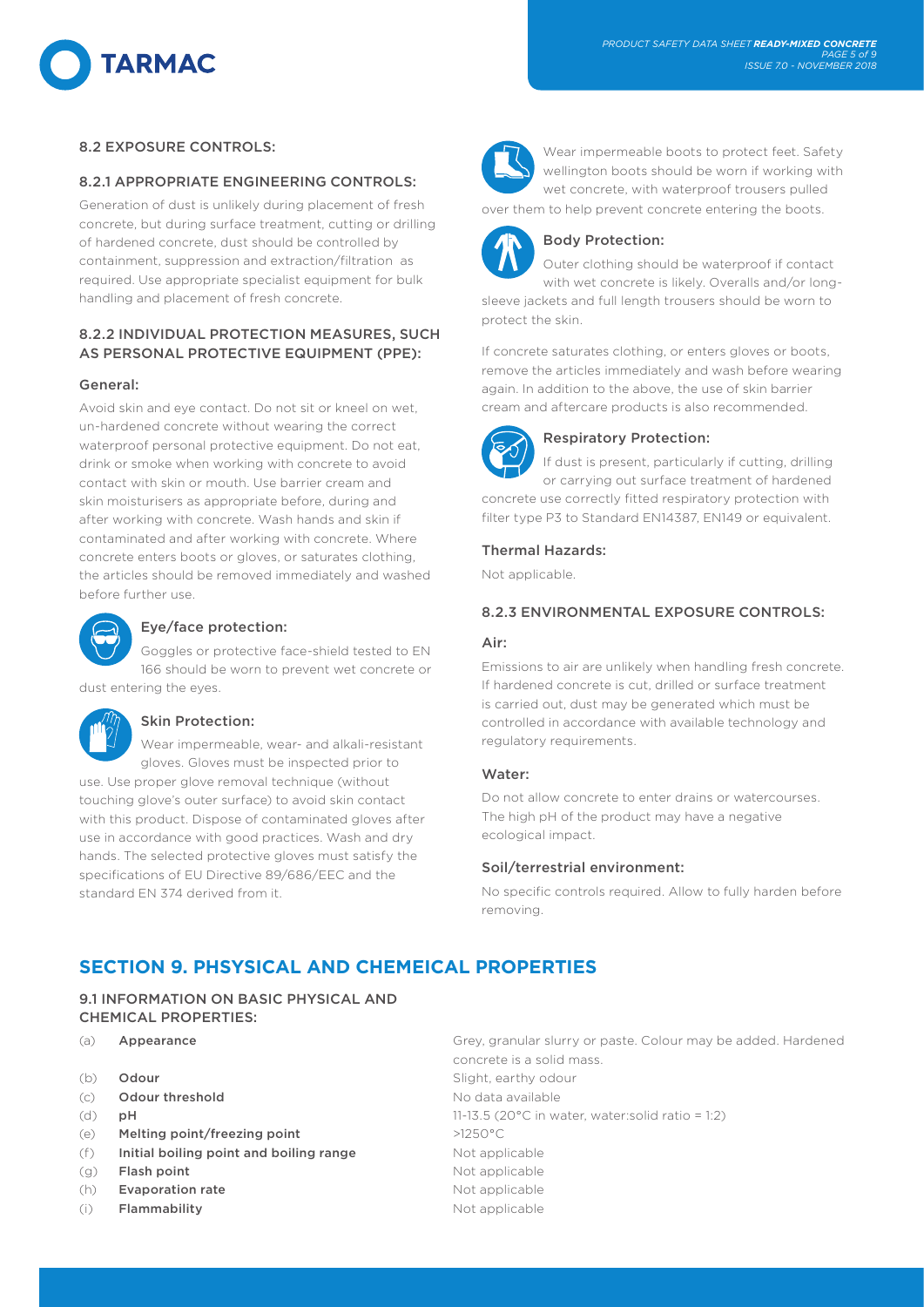# **TARMAC**

# 8.2 EXPOSURE CONTROLS:

# 8.2.1 APPROPRIATE ENGINEERING CONTROLS:

Generation of dust is unlikely during placement of fresh concrete, but during surface treatment, cutting or drilling of hardened concrete, dust should be controlled by containment, suppression and extraction/filtration as required. Use appropriate specialist equipment for bulk handling and placement of fresh concrete.

# 8.2.2 INDIVIDUAL PROTECTION MEASURES, SUCH AS PERSONAL PROTECTIVE EQUIPMENT (PPE):

# General:

Avoid skin and eye contact. Do not sit or kneel on wet, un-hardened concrete without wearing the correct waterproof personal protective equipment. Do not eat, drink or smoke when working with concrete to avoid contact with skin or mouth. Use barrier cream and skin moisturisers as appropriate before, during and after working with concrete. Wash hands and skin if contaminated and after working with concrete. Where concrete enters boots or gloves, or saturates clothing, the articles should be removed immediately and washed before further use.



# Eye/face protection:

Goggles or protective face-shield tested to EN 166 should be worn to prevent wet concrete or dust entering the eyes.



# Skin Protection:

Wear impermeable, wear- and alkali-resistant gloves. Gloves must be inspected prior to use. Use proper glove removal technique (without touching glove's outer surface) to avoid skin contact with this product. Dispose of contaminated gloves after use in accordance with good practices. Wash and dry hands. The selected protective gloves must satisfy the specifications of EU Directive 89/686/EEC and the standard EN 374 derived from it.



Wear impermeable boots to protect feet. Safety wellington boots should be worn if working with wet concrete, with waterproof trousers pulled

over them to help prevent concrete entering the boots.



# Body Protection:

Outer clothing should be waterproof if contact with wet concrete is likely. Overalls and/or longsleeve jackets and full length trousers should be worn to protect the skin.

If concrete saturates clothing, or enters gloves or boots, remove the articles immediately and wash before wearing again. In addition to the above, the use of skin barrier cream and aftercare products is also recommended.



# Respiratory Protection:

If dust is present, particularly if cutting, drilling or carrying out surface treatment of hardened concrete use correctly fitted respiratory protection with filter type P3 to Standard EN14387, EN149 or equivalent.

# Thermal Hazards:

Not applicable.

# 8.2.3 ENVIRONMENTAL EXPOSURE CONTROLS:

# Air:

Emissions to air are unlikely when handling fresh concrete. If hardened concrete is cut, drilled or surface treatment is carried out, dust may be generated which must be controlled in accordance with available technology and regulatory requirements.

# Water:

Do not allow concrete to enter drains or watercourses. The high pH of the product may have a negative ecological impact.

# Soil/terrestrial environment:

No specific controls required. Allow to fully harden before removing.

# **SECTION 9. PHSYSICAL AND CHEMEICAL PROPERTIES**

# 9.1 INFORMATION ON BASIC PHYSICAL AND CHEMICAL PROPERTIES:

- 
- 
- (c) **Odour threshold** No data available
- 
- (e) Melting point/freezing point  $>1250^{\circ}$ C
- (f) Initial boiling point and boiling range Not applicable
- (g) **Flash point Not applicable**
- (h) **Evaporation rate** Not applicable
- (i) Flammability Not applicable
- (a) **Appearance Grey, granular slurry or paste. Colour may be added. Hardened** concrete is a solid mass. (b) **Odour** Slight, earthy odour (d) **pH 11-13.5** (20 $^{\circ}$ C in water, water:solid ratio = 1:2)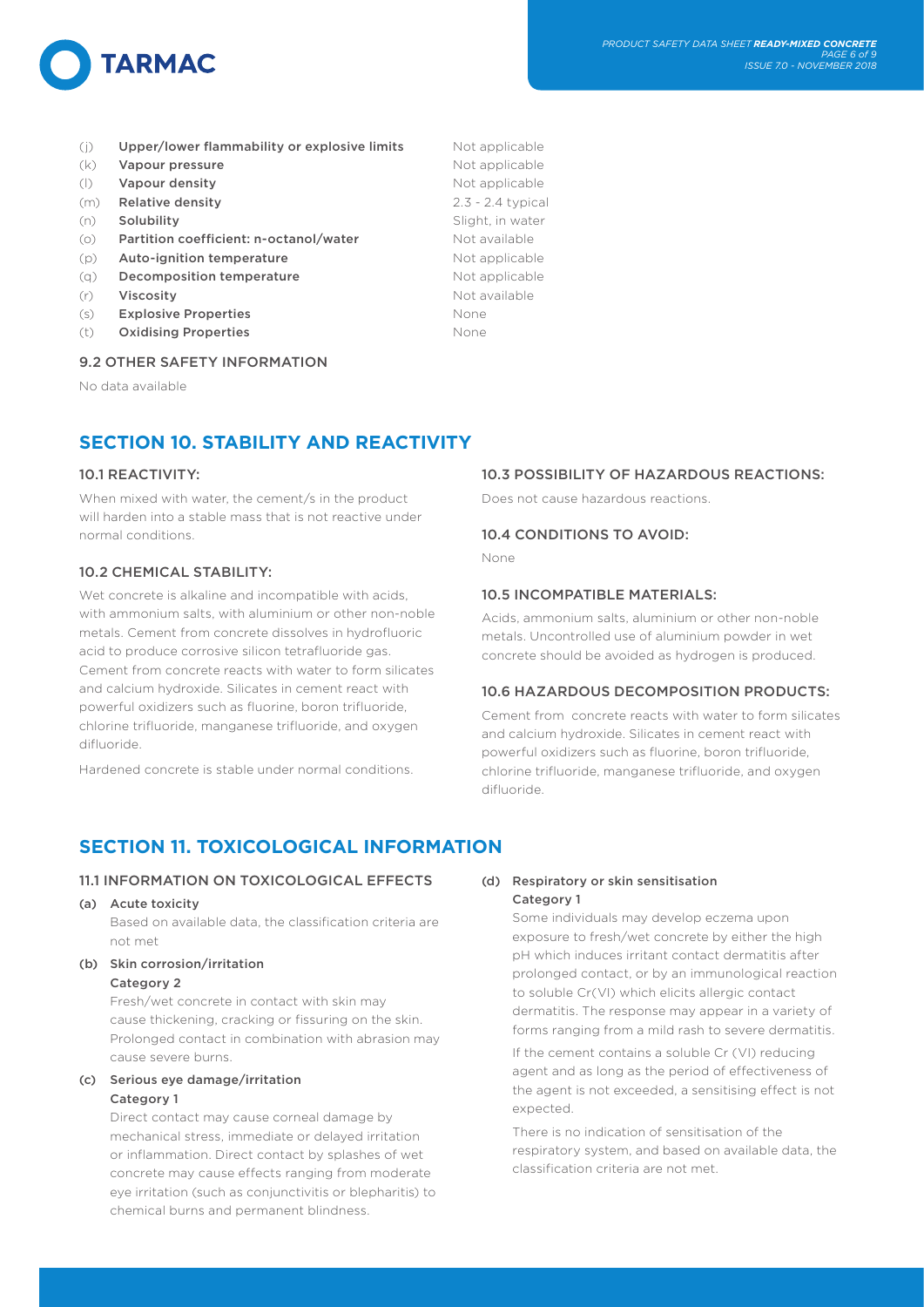

- (j) Upper/lower flammability or explosive limits Mot applicable
- (k) **Vapour pressure** Not applicable
- (I) Vapour density Not applicable
- (m) Relative density 2.3 2.4 typical
- (n) **Solubility Solubility** Slight, in water
- (o) Partition coefficient: n-octanol/water Mot available
- (p) **Auto-ignition temperature** Not applicable
- (q) **Decomposition temperature** Not applicable
- (r) Viscosity **Not available** Not available
- (s) Explosive Properties None
- (t) Oxidising Properties None

# 9.2 OTHER SAFETY INFORMATION

No data available

# **SECTION 10. STABILITY AND REACTIVITY**

# 10.1 REACTIVITY:

When mixed with water, the cement/s in the product will harden into a stable mass that is not reactive under normal conditions.

# 10.2 CHEMICAL STABILITY:

Wet concrete is alkaline and incompatible with acids, with ammonium salts, with aluminium or other non-noble metals. Cement from concrete dissolves in hydrofluoric acid to produce corrosive silicon tetrafluoride gas. Cement from concrete reacts with water to form silicates and calcium hydroxide. Silicates in cement react with powerful oxidizers such as fluorine, boron trifluoride, chlorine trifluoride, manganese trifluoride, and oxygen difluoride.

Hardened concrete is stable under normal conditions.

# **SECTION 11. TOXICOLOGICAL INFORMATION**

# 11.1 INFORMATION ON TOXICOLOGICAL EFFECTS

(a) Acute toxicity

Based on available data, the classification criteria are not met

# (b) Skin corrosion/irritation Category 2

Fresh/wet concrete in contact with skin may cause thickening, cracking or fissuring on the skin. Prolonged contact in combination with abrasion may cause severe burns.

# (c) Serious eye damage/irritation Category 1

Direct contact may cause corneal damage by mechanical stress, immediate or delayed irritation or inflammation. Direct contact by splashes of wet concrete may cause effects ranging from moderate eye irritation (such as conjunctivitis or blepharitis) to chemical burns and permanent blindness.

# 10.3 POSSIBILITY OF HAZARDOUS REACTIONS:

Does not cause hazardous reactions.

# 10.4 CONDITIONS TO AVOID:

None

# 10.5 INCOMPATIBLE MATERIALS:

Acids, ammonium salts, aluminium or other non-noble metals. Uncontrolled use of aluminium powder in wet concrete should be avoided as hydrogen is produced.

# 10.6 HAZARDOUS DECOMPOSITION PRODUCTS:

Cement from concrete reacts with water to form silicates and calcium hydroxide. Silicates in cement react with powerful oxidizers such as fluorine, boron trifluoride, chlorine trifluoride, manganese trifluoride, and oxygen difluoride.

# (d) Respiratory or skin sensitisation Category 1

Some individuals may develop eczema upon exposure to fresh/wet concrete by either the high pH which induces irritant contact dermatitis after prolonged contact, or by an immunological reaction to soluble Cr(VI) which elicits allergic contact dermatitis. The response may appear in a variety of forms ranging from a mild rash to severe dermatitis.

If the cement contains a soluble Cr (VI) reducing agent and as long as the period of effectiveness of the agent is not exceeded, a sensitising effect is not expected.

There is no indication of sensitisation of the respiratory system, and based on available data, the classification criteria are not met.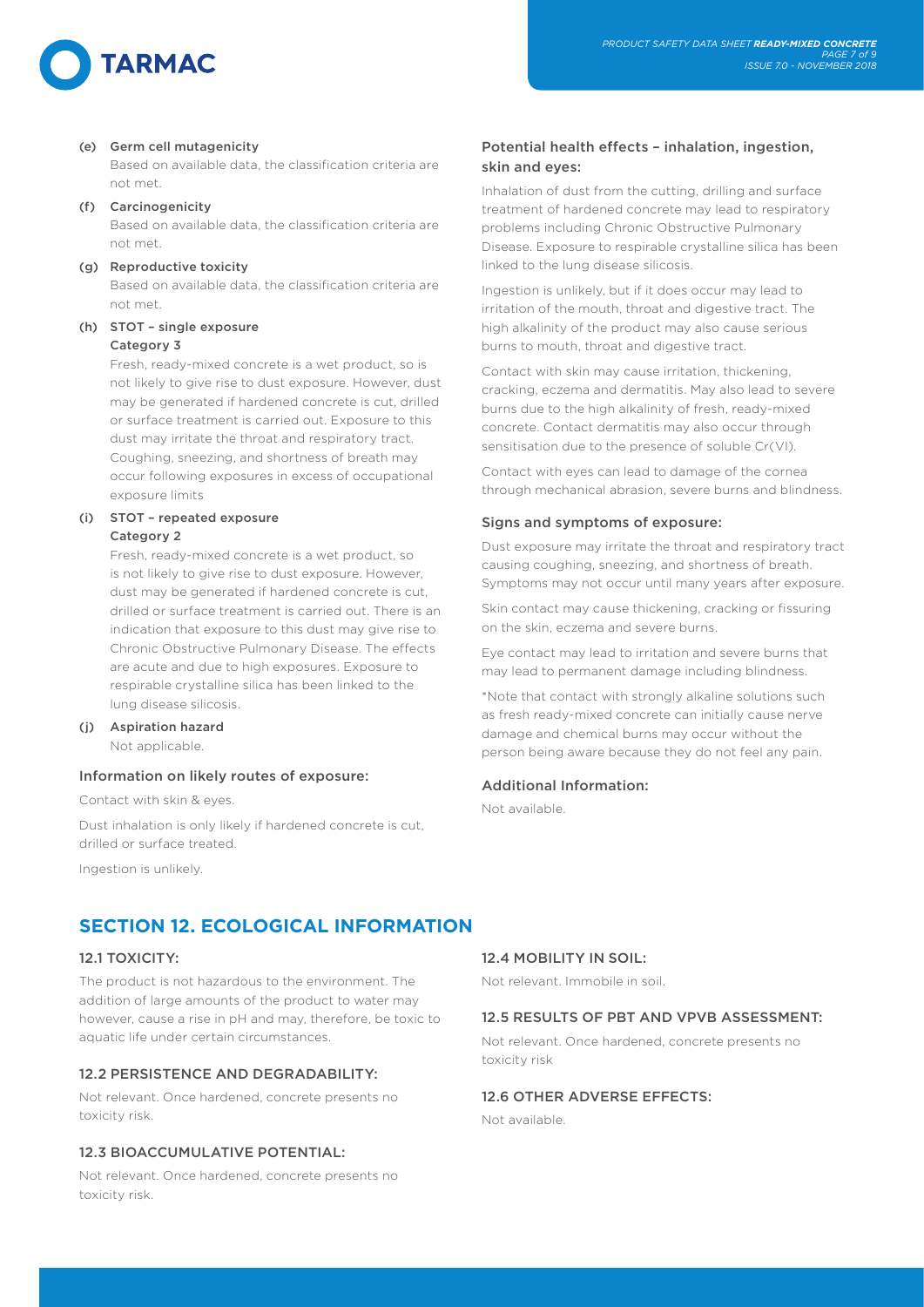

# (e) Germ cell mutagenicity

Based on available data, the classification criteria are not met.

# (f) Carcinogenicity

Based on available data, the classification criteria are not met.

### (g) Reproductive toxicity

Based on available data, the classification criteria are not met.

# (h) STOT – single exposure Category 3

Fresh, ready-mixed concrete is a wet product, so is not likely to give rise to dust exposure. However, dust may be generated if hardened concrete is cut, drilled or surface treatment is carried out. Exposure to this dust may irritate the throat and respiratory tract. Coughing, sneezing, and shortness of breath may occur following exposures in excess of occupational exposure limits

# (i) STOT – repeated exposure Category 2

Fresh, ready-mixed concrete is a wet product, so is not likely to give rise to dust exposure. However, dust may be generated if hardened concrete is cut, drilled or surface treatment is carried out. There is an indication that exposure to this dust may give rise to Chronic Obstructive Pulmonary Disease. The effects are acute and due to high exposures. Exposure to respirable crystalline silica has been linked to the lung disease silicosis.

# (j) Aspiration hazard

Not applicable.

# Information on likely routes of exposure:

Contact with skin & eyes.

Dust inhalation is only likely if hardened concrete is cut, drilled or surface treated.

Ingestion is unlikely.

# Potential health effects – inhalation, ingestion, skin and eyes:

Inhalation of dust from the cutting, drilling and surface treatment of hardened concrete may lead to respiratory problems including Chronic Obstructive Pulmonary Disease. Exposure to respirable crystalline silica has been linked to the lung disease silicosis.

Ingestion is unlikely, but if it does occur may lead to irritation of the mouth, throat and digestive tract. The high alkalinity of the product may also cause serious burns to mouth, throat and digestive tract.

Contact with skin may cause irritation, thickening, cracking, eczema and dermatitis. May also lead to severe burns due to the high alkalinity of fresh, ready-mixed concrete. Contact dermatitis may also occur through sensitisation due to the presence of soluble Cr(VI).

Contact with eyes can lead to damage of the cornea through mechanical abrasion, severe burns and blindness.

# Signs and symptoms of exposure:

Dust exposure may irritate the throat and respiratory tract causing coughing, sneezing, and shortness of breath. Symptoms may not occur until many years after exposure.

Skin contact may cause thickening, cracking or fissuring on the skin, eczema and severe burns.

Eye contact may lead to irritation and severe burns that may lead to permanent damage including blindness.

\*Note that contact with strongly alkaline solutions such as fresh ready-mixed concrete can initially cause nerve damage and chemical burns may occur without the person being aware because they do not feel any pain.

# Additional Information:

Not available.

# **SECTION 12. ECOLOGICAL INFORMATION**

# 12.1 TOXICITY:

The product is not hazardous to the environment. The addition of large amounts of the product to water may however, cause a rise in pH and may, therefore, be toxic to aquatic life under certain circumstances.

# 12.2 PERSISTENCE AND DEGRADABILITY:

Not relevant. Once hardened, concrete presents no toxicity risk.

# 12.3 BIOACCUMULATIVE POTENTIAL:

Not relevant. Once hardened, concrete presents no toxicity risk.

# 12.4 MOBILITY IN SOIL:

Not relevant. Immobile in soil.

# 12.5 RESULTS OF PBT AND VPVB ASSESSMENT:

Not relevant. Once hardened, concrete presents no toxicity risk

# 12.6 OTHER ADVERSE EFFECTS:

Not available.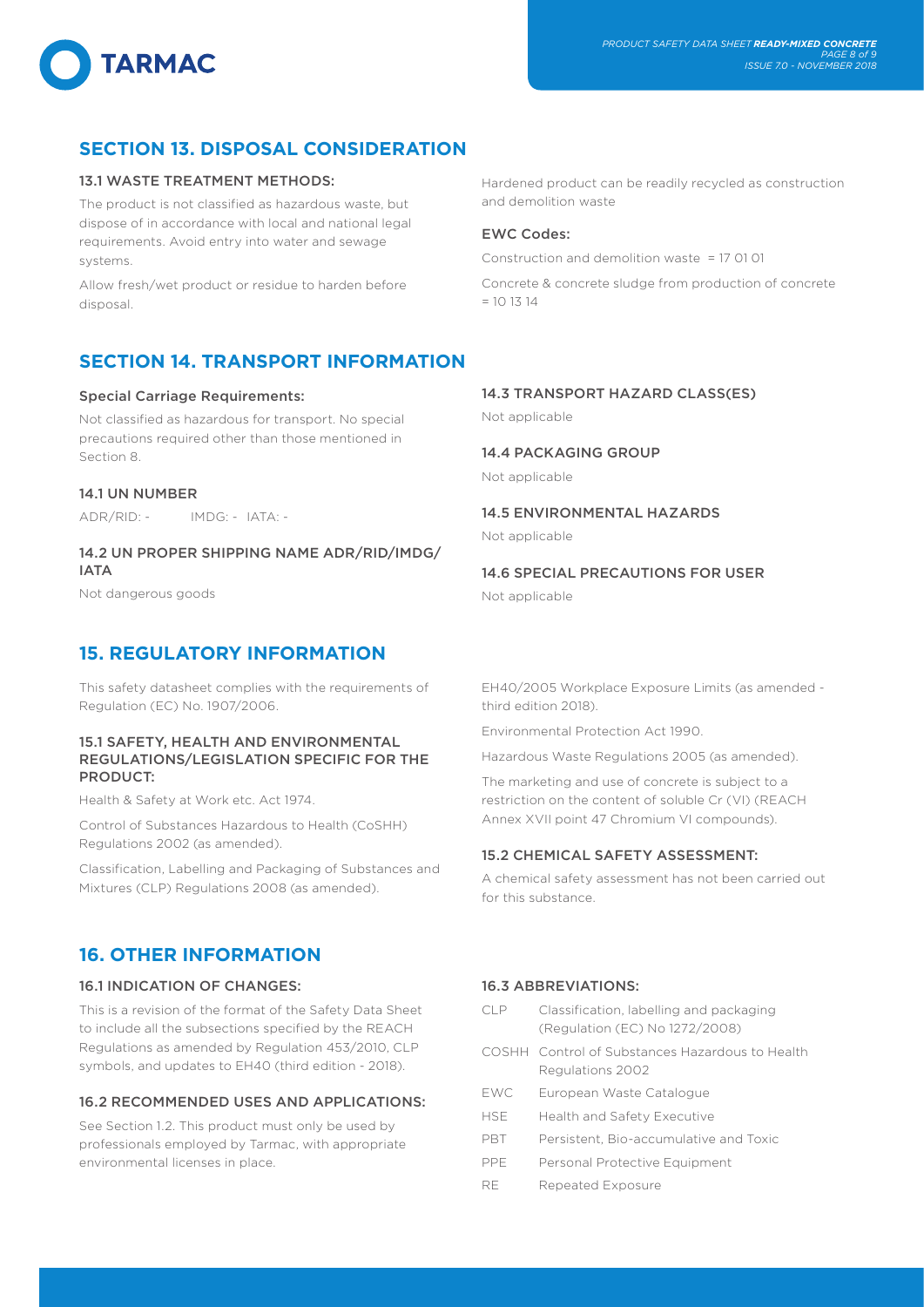# **SECTION 13. DISPOSAL CONSIDERATION**

# 13.1 WASTE TREATMENT METHODS:

The product is not classified as hazardous waste, but dispose of in accordance with local and national legal requirements. Avoid entry into water and sewage systems.

Allow fresh/wet product or residue to harden before disposal.

# **SECTION 14. TRANSPORT INFORMATION**

### Special Carriage Requirements:

Not classified as hazardous for transport. No special precautions required other than those mentioned in Section 8.

### 14.1 UN NUMBER

ADR/RID: - IMDG: - IATA: -

# 14.2 UN PROPER SHIPPING NAME ADR/RID/IMDG/ IATA

Not dangerous goods

# **15. REGULATORY INFORMATION**

This safety datasheet complies with the requirements of Regulation (EC) No. 1907/2006.

# 15.1 SAFETY, HEALTH AND ENVIRONMENTAL REGULATIONS/LEGISLATION SPECIFIC FOR THE PRODUCT:

Health & Safety at Work etc. Act 1974.

Control of Substances Hazardous to Health (CoSHH) Regulations 2002 (as amended).

Classification, Labelling and Packaging of Substances and Mixtures (CLP) Regulations 2008 (as amended).

# **16. OTHER INFORMATION**

# 16.1 INDICATION OF CHANGES:

This is a revision of the format of the Safety Data Sheet to include all the subsections specified by the REACH Regulations as amended by Regulation 453/2010, CLP symbols, and updates to EH40 (third edition - 2018).

# 16.2 RECOMMENDED USES AND APPLICATIONS:

See Section 1.2. This product must only be used by professionals employed by Tarmac, with appropriate environmental licenses in place.

Hardened product can be readily recycled as construction and demolition waste

# EWC Codes:

Construction and demolition waste = 17 01 01

Concrete & concrete sludge from production of concrete  $= 10 13 14$ 

# 14.3 TRANSPORT HAZARD CLASS(ES)

Not applicable

# 14.4 PACKAGING GROUP

Not applicable

# 14.5 ENVIRONMENTAL HAZARDS

Not applicable

# 14.6 SPECIAL PRECAUTIONS FOR USER

Not applicable

EH40/2005 Workplace Exposure Limits (as amended third edition 2018).

Environmental Protection Act 1990.

Hazardous Waste Regulations 2005 (as amended).

The marketing and use of concrete is subject to a restriction on the content of soluble Cr (VI) (REACH Annex XVII point 47 Chromium VI compounds).

# 15.2 CHEMICAL SAFETY ASSESSMENT:

A chemical safety assessment has not been carried out for this substance.

# 16.3 ABBREVIATIONS:

- CLP Classification, labelling and packaging (Regulation (EC) No 1272/2008)
- COSHH Control of Substances Hazardous to Health Regulations 2002
- EWC European Waste Catalogue
- HSE Health and Safety Executive
- PBT Persistent, Bio-accumulative and Toxic
- PPE Personal Protective Equipment
- RE Repeated Exposure